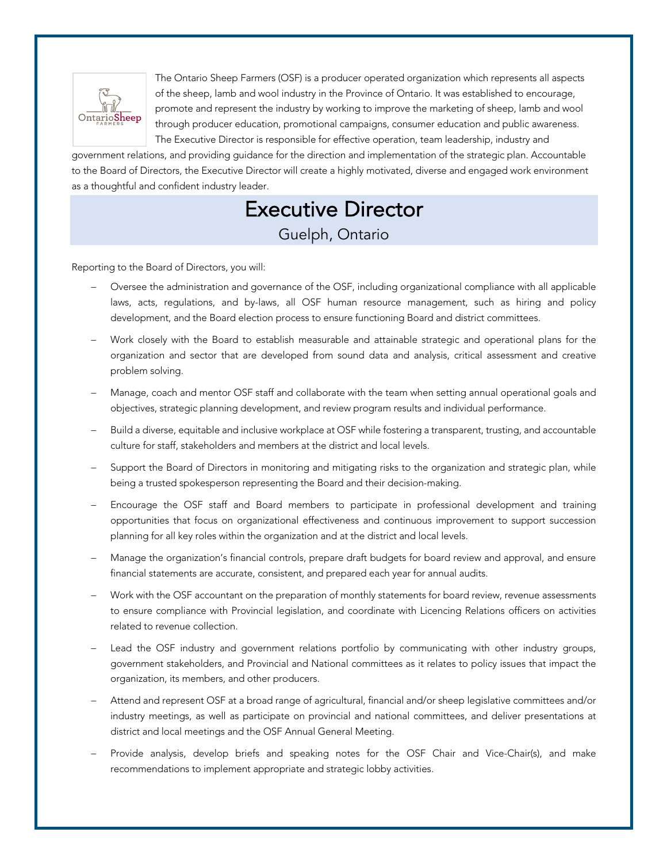

The Ontario Sheep Farmers (OSF) is a producer operated organization which represents all aspects of the sheep, lamb and wool industry in the Province of Ontario. It was established to encourage, promote and represent the industry by working to improve the marketing of sheep, lamb and wool through producer education, promotional campaigns, consumer education and public awareness. The Executive Director is responsible for effective operation, team leadership, industry and

government relations, and providing guidance for the direction and implementation of the strategic plan. Accountable to the Board of Directors, the Executive Director will create a highly motivated, diverse and engaged work environment as a thoughtful and confident industry leader.

## Executive Director Guelph, Ontario

Reporting to the Board of Directors, you will:

- Oversee the administration and governance of the OSF, including organizational compliance with all applicable laws, acts, regulations, and by-laws, all OSF human resource management, such as hiring and policy development, and the Board election process to ensure functioning Board and district committees.
- Work closely with the Board to establish measurable and attainable strategic and operational plans for the organization and sector that are developed from sound data and analysis, critical assessment and creative problem solving.
- Manage, coach and mentor OSF staff and collaborate with the team when setting annual operational goals and objectives, strategic planning development, and review program results and individual performance.
- Build a diverse, equitable and inclusive workplace at OSF while fostering a transparent, trusting, and accountable culture for staff, stakeholders and members at the district and local levels.
- Support the Board of Directors in monitoring and mitigating risks to the organization and strategic plan, while being a trusted spokesperson representing the Board and their decision-making.
- Encourage the OSF staff and Board members to participate in professional development and training opportunities that focus on organizational effectiveness and continuous improvement to support succession planning for all key roles within the organization and at the district and local levels.
- Manage the organization's financial controls, prepare draft budgets for board review and approval, and ensure financial statements are accurate, consistent, and prepared each year for annual audits.
- Work with the OSF accountant on the preparation of monthly statements for board review, revenue assessments to ensure compliance with Provincial legislation, and coordinate with Licencing Relations officers on activities related to revenue collection.
- Lead the OSF industry and government relations portfolio by communicating with other industry groups, government stakeholders, and Provincial and National committees as it relates to policy issues that impact the organization, its members, and other producers.
- Attend and represent OSF at a broad range of agricultural, financial and/or sheep legislative committees and/or industry meetings, as well as participate on provincial and national committees, and deliver presentations at district and local meetings and the OSF Annual General Meeting.
- Provide analysis, develop briefs and speaking notes for the OSF Chair and Vice-Chair(s), and make recommendations to implement appropriate and strategic lobby activities.